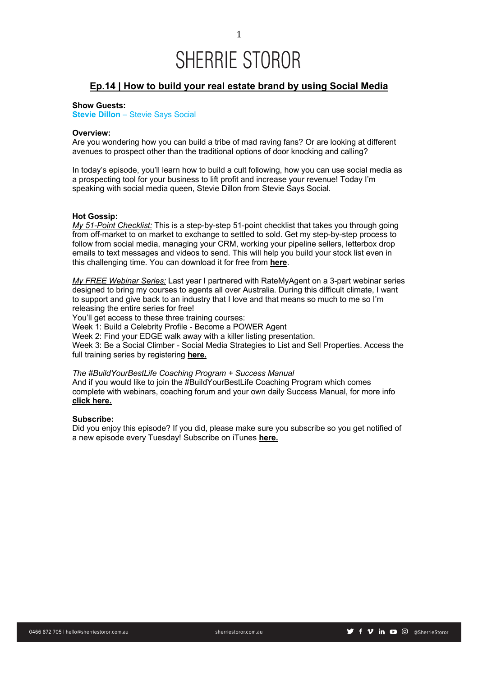1

## **Ep.14 | How to build your real estate brand by using Social Media**

## **Show Guests:**

**Stevie Dillon** – Stevie Says Social

## **Overview:**

Are you wondering how you can build a tribe of mad raving fans? Or are looking at different avenues to prospect other than the traditional options of door knocking and calling?

In today's episode, you'll learn how to build a cult following, how you can use social media as a prospecting tool for your business to lift profit and increase your revenue! Today I'm speaking with social media queen, Stevie Dillon from Stevie Says Social.

## **Hot Gossip:**

*My 51-Point Checklist:* This is a step-by-step 51-point checklist that takes you through going from off-market to on market to exchange to settled to sold. Get my step-by-step process to follow from social media, managing your CRM, working your pipeline sellers, letterbox drop emails to text messages and videos to send. This will help you build your stock list even in this challenging time. You can download it for free from **here**.

*My FREE Webinar Series:* Last year I partnered with RateMyAgent on a 3-part webinar series designed to bring my courses to agents all over Australia. During this difficult climate, I want to support and give back to an industry that I love and that means so much to me so I'm releasing the entire series for free!

You'll get access to these three training courses:

Week 1: Build a Celebrity Profile - Become a POWER Agent

Week 2: Find your EDGE walk away with a killer listing presentation.

Week 3: Be a Social Climber - Social Media Strategies to List and Sell Properties. Access the full training series by registering **here.**

## *The #BuildYourBestLife Coaching Program + Success Manual*

And if you would like to join the #BuildYourBestLife Coaching Program which comes complete with webinars, coaching forum and your own daily Success Manual, for more info **click here.**

## **Subscribe:**

Did you enjoy this episode? If you did, please make sure you subscribe so you get notified of a new episode every Tuesday! Subscribe on iTunes **here.**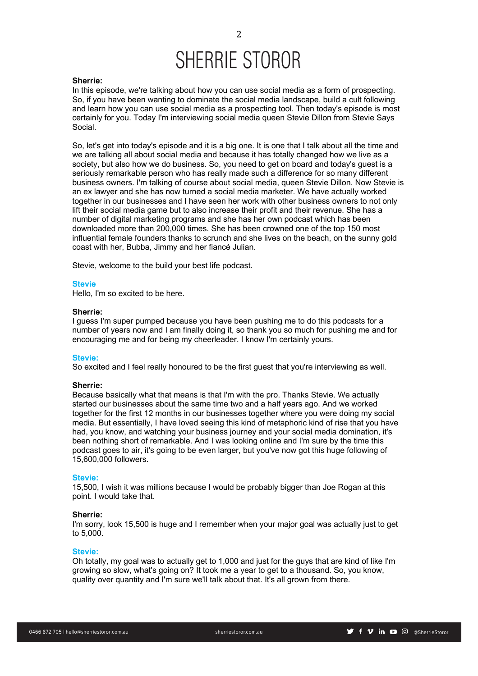## **Sherrie:**

In this episode, we're talking about how you can use social media as a form of prospecting. So, if you have been wanting to dominate the social media landscape, build a cult following and learn how you can use social media as a prospecting tool. Then today's episode is most certainly for you. Today I'm interviewing social media queen Stevie Dillon from Stevie Says Social.

So, let's get into today's episode and it is a big one. It is one that I talk about all the time and we are talking all about social media and because it has totally changed how we live as a society, but also how we do business. So, you need to get on board and today's guest is a seriously remarkable person who has really made such a difference for so many different business owners. I'm talking of course about social media, queen Stevie Dillon. Now Stevie is an ex lawyer and she has now turned a social media marketer. We have actually worked together in our businesses and I have seen her work with other business owners to not only lift their social media game but to also increase their profit and their revenue. She has a number of digital marketing programs and she has her own podcast which has been downloaded more than 200,000 times. She has been crowned one of the top 150 most influential female founders thanks to scrunch and she lives on the beach, on the sunny gold coast with her, Bubba, Jimmy and her fiancé Julian.

Stevie, welcome to the build your best life podcast.

### **Stevie**

Hello, I'm so excited to be here.

## **Sherrie:**

I guess I'm super pumped because you have been pushing me to do this podcasts for a number of years now and I am finally doing it, so thank you so much for pushing me and for encouraging me and for being my cheerleader. I know I'm certainly yours.

#### **Stevie:**

So excited and I feel really honoured to be the first guest that you're interviewing as well.

#### **Sherrie:**

Because basically what that means is that I'm with the pro. Thanks Stevie. We actually started our businesses about the same time two and a half years ago. And we worked together for the first 12 months in our businesses together where you were doing my social media. But essentially, I have loved seeing this kind of metaphoric kind of rise that you have had, you know, and watching your business journey and your social media domination, it's been nothing short of remarkable. And I was looking online and I'm sure by the time this podcast goes to air, it's going to be even larger, but you've now got this huge following of 15,600,000 followers.

## **Stevie:**

15,500, I wish it was millions because I would be probably bigger than Joe Rogan at this point. I would take that.

### **Sherrie:**

I'm sorry, look 15,500 is huge and I remember when your major goal was actually just to get to 5,000.

#### **Stevie:**

Oh totally, my goal was to actually get to 1,000 and just for the guys that are kind of like I'm growing so slow, what's going on? It took me a year to get to a thousand. So, you know, quality over quantity and I'm sure we'll talk about that. It's all grown from there.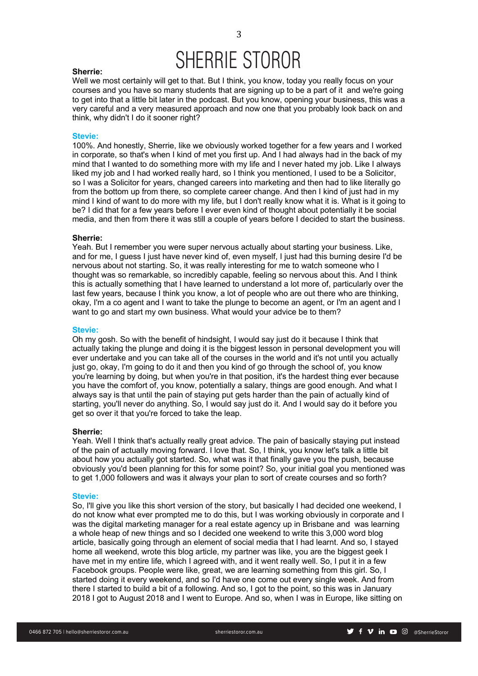#### **Sherrie:**

Well we most certainly will get to that. But I think, you know, today you really focus on your courses and you have so many students that are signing up to be a part of it and we're going to get into that a little bit later in the podcast. But you know, opening your business, this was a very careful and a very measured approach and now one that you probably look back on and think, why didn't I do it sooner right?

## **Stevie:**

100%. And honestly, Sherrie, like we obviously worked together for a few years and I worked in corporate, so that's when I kind of met you first up. And I had always had in the back of my mind that I wanted to do something more with my life and I never hated my job. Like I always liked my job and I had worked really hard, so I think you mentioned, I used to be a Solicitor, so I was a Solicitor for years, changed careers into marketing and then had to like literally go from the bottom up from there, so complete career change. And then I kind of just had in my mind I kind of want to do more with my life, but I don't really know what it is. What is it going to be? I did that for a few years before I ever even kind of thought about potentially it be social media, and then from there it was still a couple of years before I decided to start the business.

#### **Sherrie:**

Yeah. But I remember you were super nervous actually about starting your business. Like, and for me, I guess I just have never kind of, even myself, I just had this burning desire I'd be nervous about not starting. So, it was really interesting for me to watch someone who I thought was so remarkable, so incredibly capable, feeling so nervous about this. And I think this is actually something that I have learned to understand a lot more of, particularly over the last few years, because I think you know, a lot of people who are out there who are thinking, okay, I'm a co agent and I want to take the plunge to become an agent, or I'm an agent and I want to go and start my own business. What would your advice be to them?

#### **Stevie:**

Oh my gosh. So with the benefit of hindsight, I would say just do it because I think that actually taking the plunge and doing it is the biggest lesson in personal development you will ever undertake and you can take all of the courses in the world and it's not until you actually just go, okay, I'm going to do it and then you kind of go through the school of, you know you're learning by doing, but when you're in that position, it's the hardest thing ever because you have the comfort of, you know, potentially a salary, things are good enough. And what I always say is that until the pain of staying put gets harder than the pain of actually kind of starting, you'll never do anything. So, I would say just do it. And I would say do it before you get so over it that you're forced to take the leap.

#### **Sherrie:**

Yeah. Well I think that's actually really great advice. The pain of basically staying put instead of the pain of actually moving forward. I love that. So, I think, you know let's talk a little bit about how you actually got started. So, what was it that finally gave you the push, because obviously you'd been planning for this for some point? So, your initial goal you mentioned was to get 1,000 followers and was it always your plan to sort of create courses and so forth?

#### **Stevie:**

So, I'll give you like this short version of the story, but basically I had decided one weekend, I do not know what ever prompted me to do this, but I was working obviously in corporate and I was the digital marketing manager for a real estate agency up in Brisbane and was learning a whole heap of new things and so I decided one weekend to write this 3,000 word blog article, basically going through an element of social media that I had learnt. And so, I stayed home all weekend, wrote this blog article, my partner was like, you are the biggest geek I have met in my entire life, which I agreed with, and it went really well. So, I put it in a few Facebook groups. People were like, great, we are learning something from this girl. So, I started doing it every weekend, and so I'd have one come out every single week. And from there I started to build a bit of a following. And so, I got to the point, so this was in January 2018 I got to August 2018 and I went to Europe. And so, when I was in Europe, like sitting on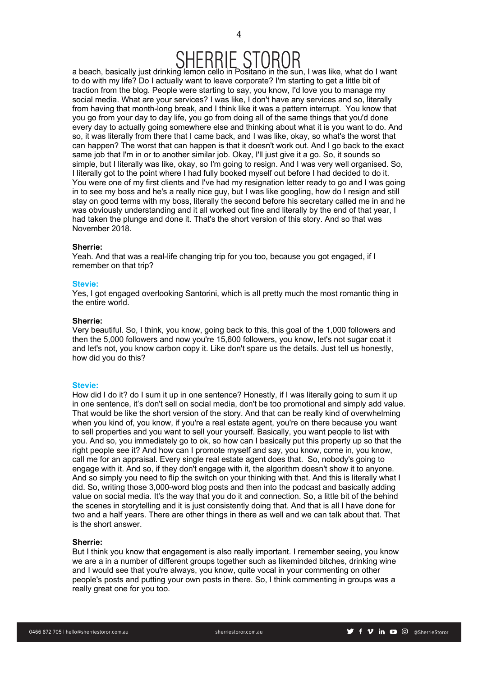## RHE ST

a beach, basically just drinking lemon cello in Positano in the sun, I was like, what do I want to do with my life? Do I actually want to leave corporate? I'm starting to get a little bit of traction from the blog. People were starting to say, you know, I'd love you to manage my social media. What are your services? I was like, I don't have any services and so, literally from having that month-long break, and I think like it was a pattern interrupt. You know that you go from your day to day life, you go from doing all of the same things that you'd done every day to actually going somewhere else and thinking about what it is you want to do. And so, it was literally from there that I came back, and I was like, okay, so what's the worst that can happen? The worst that can happen is that it doesn't work out. And I go back to the exact same job that I'm in or to another similar job. Okay, I'll just give it a go. So, it sounds so simple, but I literally was like, okay, so I'm going to resign. And I was very well organised. So, I literally got to the point where I had fully booked myself out before I had decided to do it. You were one of my first clients and I've had my resignation letter ready to go and I was going in to see my boss and he's a really nice guy, but I was like googling, how do I resign and still stay on good terms with my boss, literally the second before his secretary called me in and he was obviously understanding and it all worked out fine and literally by the end of that year, I had taken the plunge and done it. That's the short version of this story. And so that was November 2018.

## **Sherrie:**

Yeah. And that was a real-life changing trip for you too, because you got engaged, if I remember on that trip?

## **Stevie:**

Yes, I got engaged overlooking Santorini, which is all pretty much the most romantic thing in the entire world.

## **Sherrie:**

Very beautiful. So, I think, you know, going back to this, this goal of the 1,000 followers and then the 5,000 followers and now you're 15,600 followers, you know, let's not sugar coat it and let's not, you know carbon copy it. Like don't spare us the details. Just tell us honestly, how did you do this?

## **Stevie:**

How did I do it? do I sum it up in one sentence? Honestly, if I was literally going to sum it up in one sentence, it's don't sell on social media, don't be too promotional and simply add value. That would be like the short version of the story. And that can be really kind of overwhelming when you kind of, you know, if you're a real estate agent, you're on there because you want to sell properties and you want to sell your yourself. Basically, you want people to list with you. And so, you immediately go to ok, so how can I basically put this property up so that the right people see it? And how can I promote myself and say, you know, come in, you know, call me for an appraisal. Every single real estate agent does that. So, nobody's going to engage with it. And so, if they don't engage with it, the algorithm doesn't show it to anyone. And so simply you need to flip the switch on your thinking with that. And this is literally what I did. So, writing those 3,000-word blog posts and then into the podcast and basically adding value on social media. It's the way that you do it and connection. So, a little bit of the behind the scenes in storytelling and it is just consistently doing that. And that is all I have done for two and a half years. There are other things in there as well and we can talk about that. That is the short answer.

## **Sherrie:**

But I think you know that engagement is also really important. I remember seeing, you know we are a in a number of different groups together such as likeminded bitches, drinking wine and I would see that you're always, you know, quite vocal in your commenting on other people's posts and putting your own posts in there. So, I think commenting in groups was a really great one for you too.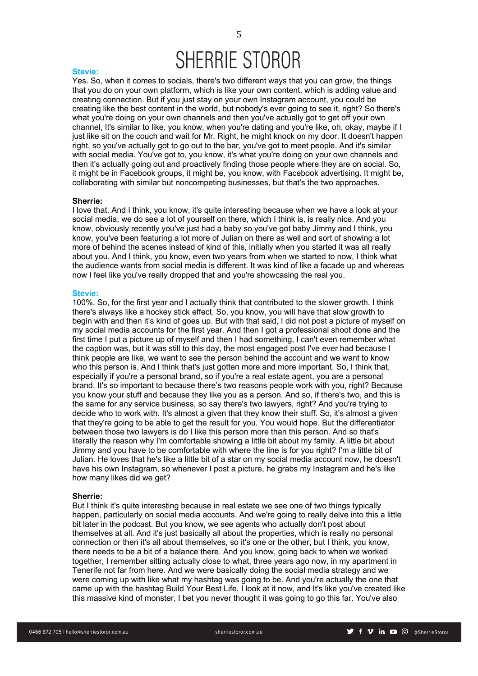#### **Stevie:**

Yes. So, when it comes to socials, there's two different ways that you can grow, the things that you do on your own platform, which is like your own content, which is adding value and creating connection. But if you just stay on your own Instagram account, you could be creating like the best content in the world, but nobody's ever going to see it, right? So there's what you're doing on your own channels and then you've actually got to get off your own channel, It's similar to like, you know, when you're dating and you're like, oh, okay, maybe if I just like sit on the couch and wait for Mr. Right, he might knock on my door. It doesn't happen right, so you've actually got to go out to the bar, you've got to meet people. And it's similar with social media. You've got to, you know, it's what you're doing on your own channels and then it's actually going out and proactively finding those people where they are on social. So, it might be in Facebook groups, it might be, you know, with Facebook advertising. It might be, collaborating with similar but noncompeting businesses, but that's the two approaches.

#### **Sherrie:**

I love that. And I think, you know, it's quite interesting because when we have a look at your social media, we do see a lot of yourself on there, which I think is, is really nice. And you know, obviously recently you've just had a baby so you've got baby Jimmy and I think, you know, you've been featuring a lot more of Julian on there as well and sort of showing a lot more of behind the scenes instead of kind of this, initially when you started it was all really about you. And I think, you know, even two years from when we started to now, I think what the audience wants from social media is different. It was kind of like a facade up and whereas now I feel like you've really dropped that and you're showcasing the real you.

## **Stevie:**

100%. So, for the first year and I actually think that contributed to the slower growth. I think there's always like a hockey stick effect. So, you know, you will have that slow growth to begin with and then it's kind of goes up. But with that said, I did not post a picture of myself on my social media accounts for the first year. And then I got a professional shoot done and the first time I put a picture up of myself and then I had something, I can't even remember what the caption was, but it was still to this day, the most engaged post I've ever had because I think people are like, we want to see the person behind the account and we want to know who this person is. And I think that's just gotten more and more important. So, I think that, especially if you're a personal brand, so if you're a real estate agent, you are a personal brand. It's so important to because there's two reasons people work with you, right? Because you know your stuff and because they like you as a person. And so, if there's two, and this is the same for any service business, so say there's two lawyers, right? And you're trying to decide who to work with. It's almost a given that they know their stuff. So, it's almost a given that they're going to be able to get the result for you. You would hope. But the differentiator between those two lawyers is do I like this person more than this person. And so that's literally the reason why I'm comfortable showing a little bit about my family. A little bit about Jimmy and you have to be comfortable with where the line is for you right? I'm a little bit of Julian. He loves that he's like a little bit of a star on my social media account now, he doesn't have his own Instagram, so whenever I post a picture, he grabs my Instagram and he's like how many likes did we get?

#### **Sherrie:**

But I think it's quite interesting because in real estate we see one of two things typically happen, particularly on social media accounts. And we're going to really delve into this a little bit later in the podcast. But you know, we see agents who actually don't post about themselves at all. And it's just basically all about the properties, which is really no personal connection or then it's all about themselves, so it's one or the other, but I think, you know, there needs to be a bit of a balance there. And you know, going back to when we worked together, I remember sitting actually close to what, three years ago now, in my apartment in Tenerife not far from here. And we were basically doing the social media strategy and we were coming up with like what my hashtag was going to be. And you're actually the one that came up with the hashtag Build Your Best Life, I look at it now, and It's like you've created like this massive kind of monster, I bet you never thought it was going to go this far. You've also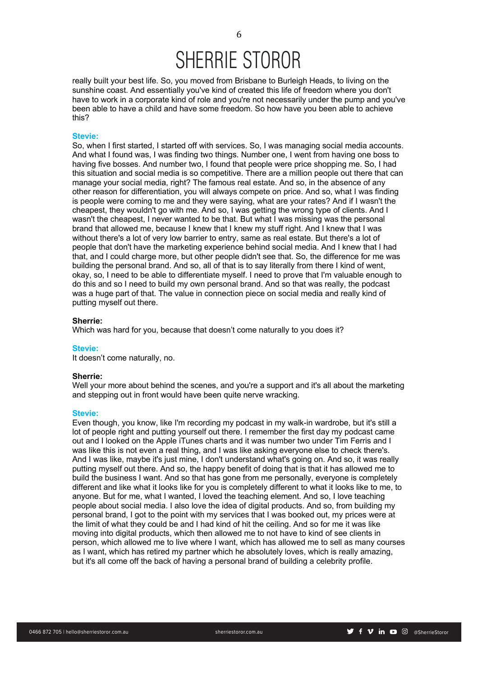really built your best life. So, you moved from Brisbane to Burleigh Heads, to living on the sunshine coast. And essentially you've kind of created this life of freedom where you don't have to work in a corporate kind of role and you're not necessarily under the pump and you've been able to have a child and have some freedom. So how have you been able to achieve this?

## **Stevie:**

So, when I first started, I started off with services. So, I was managing social media accounts. And what I found was, I was finding two things. Number one, I went from having one boss to having five bosses. And number two, I found that people were price shopping me. So, I had this situation and social media is so competitive. There are a million people out there that can manage your social media, right? The famous real estate. And so, in the absence of any other reason for differentiation, you will always compete on price. And so, what I was finding is people were coming to me and they were saying, what are your rates? And if I wasn't the cheapest, they wouldn't go with me. And so, I was getting the wrong type of clients. And I wasn't the cheapest, I never wanted to be that. But what I was missing was the personal brand that allowed me, because I knew that I knew my stuff right. And I knew that I was without there's a lot of very low barrier to entry, same as real estate. But there's a lot of people that don't have the marketing experience behind social media. And I knew that I had that, and I could charge more, but other people didn't see that. So, the difference for me was building the personal brand. And so, all of that is to say literally from there I kind of went, okay, so, I need to be able to differentiate myself. I need to prove that I'm valuable enough to do this and so I need to build my own personal brand. And so that was really, the podcast was a huge part of that. The value in connection piece on social media and really kind of putting myself out there.

## **Sherrie:**

Which was hard for you, because that doesn't come naturally to you does it?

#### **Stevie:**

It doesn't come naturally, no.

#### **Sherrie:**

Well your more about behind the scenes, and you're a support and it's all about the marketing and stepping out in front would have been quite nerve wracking.

#### **Stevie:**

Even though, you know, like I'm recording my podcast in my walk-in wardrobe, but it's still a lot of people right and putting yourself out there. I remember the first day my podcast came out and I looked on the Apple iTunes charts and it was number two under Tim Ferris and I was like this is not even a real thing, and I was like asking everyone else to check there's. And I was like, maybe it's just mine, I don't understand what's going on. And so, it was really putting myself out there. And so, the happy benefit of doing that is that it has allowed me to build the business I want. And so that has gone from me personally, everyone is completely different and like what it looks like for you is completely different to what it looks like to me, to anyone. But for me, what I wanted, I loved the teaching element. And so, I love teaching people about social media. I also love the idea of digital products. And so, from building my personal brand, I got to the point with my services that I was booked out, my prices were at the limit of what they could be and I had kind of hit the ceiling. And so for me it was like moving into digital products, which then allowed me to not have to kind of see clients in person, which allowed me to live where I want, which has allowed me to sell as many courses as I want, which has retired my partner which he absolutely loves, which is really amazing, but it's all come off the back of having a personal brand of building a celebrity profile.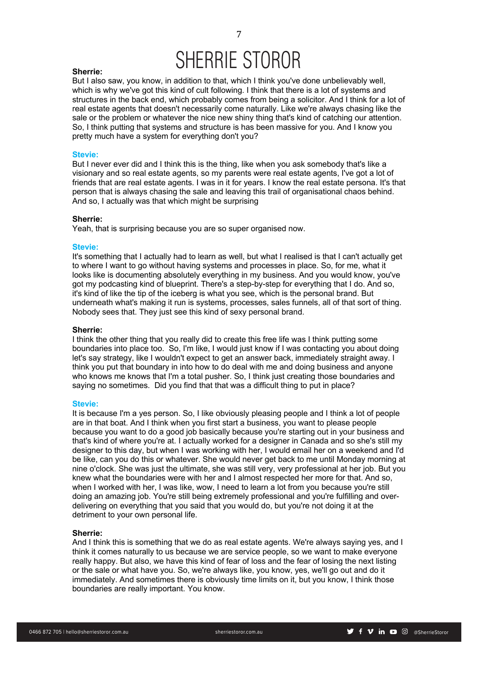### **Sherrie:**

But I also saw, you know, in addition to that, which I think you've done unbelievably well, which is why we've got this kind of cult following. I think that there is a lot of systems and structures in the back end, which probably comes from being a solicitor. And I think for a lot of real estate agents that doesn't necessarily come naturally. Like we're always chasing like the sale or the problem or whatever the nice new shiny thing that's kind of catching our attention. So, I think putting that systems and structure is has been massive for you. And I know you pretty much have a system for everything don't you?

## **Stevie:**

But I never ever did and I think this is the thing, like when you ask somebody that's like a visionary and so real estate agents, so my parents were real estate agents, I've got a lot of friends that are real estate agents. I was in it for years. I know the real estate persona. It's that person that is always chasing the sale and leaving this trail of organisational chaos behind. And so, I actually was that which might be surprising

## **Sherrie:**

Yeah, that is surprising because you are so super organised now.

#### **Stevie:**

It's something that I actually had to learn as well, but what I realised is that I can't actually get to where I want to go without having systems and processes in place. So, for me, what it looks like is documenting absolutely everything in my business. And you would know, you've got my podcasting kind of blueprint. There's a step-by-step for everything that I do. And so, it's kind of like the tip of the iceberg is what you see, which is the personal brand. But underneath what's making it run is systems, processes, sales funnels, all of that sort of thing. Nobody sees that. They just see this kind of sexy personal brand.

## **Sherrie:**

I think the other thing that you really did to create this free life was I think putting some boundaries into place too. So, I'm like, I would just know if I was contacting you about doing let's say strategy, like I wouldn't expect to get an answer back, immediately straight away. I think you put that boundary in into how to do deal with me and doing business and anyone who knows me knows that I'm a total pusher. So, I think just creating those boundaries and saying no sometimes. Did you find that that was a difficult thing to put in place?

#### **Stevie:**

It is because I'm a yes person. So, I like obviously pleasing people and I think a lot of people are in that boat. And I think when you first start a business, you want to please people because you want to do a good job basically because you're starting out in your business and that's kind of where you're at. I actually worked for a designer in Canada and so she's still my designer to this day, but when I was working with her, I would email her on a weekend and I'd be like, can you do this or whatever. She would never get back to me until Monday morning at nine o'clock. She was just the ultimate, she was still very, very professional at her job. But you knew what the boundaries were with her and I almost respected her more for that. And so, when I worked with her, I was like, wow, I need to learn a lot from you because you're still doing an amazing job. You're still being extremely professional and you're fulfilling and overdelivering on everything that you said that you would do, but you're not doing it at the detriment to your own personal life.

#### **Sherrie:**

And I think this is something that we do as real estate agents. We're always saying yes, and I think it comes naturally to us because we are service people, so we want to make everyone really happy. But also, we have this kind of fear of loss and the fear of losing the next listing or the sale or what have you. So, we're always like, you know, yes, we'll go out and do it immediately. And sometimes there is obviously time limits on it, but you know, I think those boundaries are really important. You know.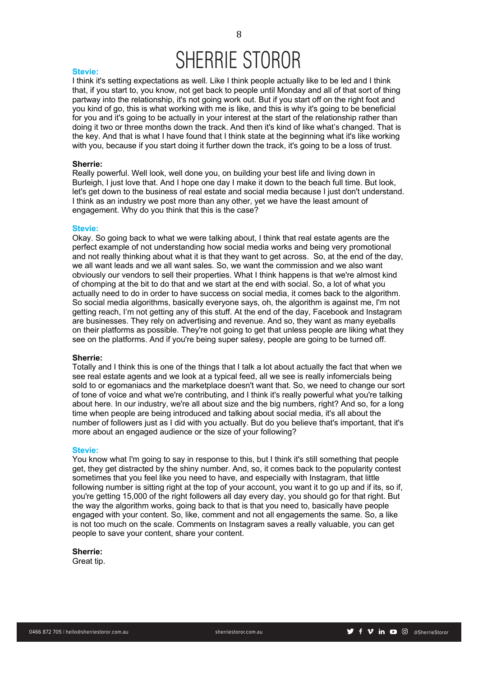#### **Stevie:**

I think it's setting expectations as well. Like I think people actually like to be led and I think that, if you start to, you know, not get back to people until Monday and all of that sort of thing partway into the relationship, it's not going work out. But if you start off on the right foot and you kind of go, this is what working with me is like, and this is why it's going to be beneficial for you and it's going to be actually in your interest at the start of the relationship rather than doing it two or three months down the track. And then it's kind of like what's changed. That is the key. And that is what I have found that I think state at the beginning what it's like working with you, because if you start doing it further down the track, it's going to be a loss of trust.

#### **Sherrie:**

Really powerful. Well look, well done you, on building your best life and living down in Burleigh, I just love that. And I hope one day I make it down to the beach full time. But look, let's get down to the business of real estate and social media because I just don't understand. I think as an industry we post more than any other, yet we have the least amount of engagement. Why do you think that this is the case?

## **Stevie:**

Okay. So going back to what we were talking about, I think that real estate agents are the perfect example of not understanding how social media works and being very promotional and not really thinking about what it is that they want to get across. So, at the end of the day, we all want leads and we all want sales. So, we want the commission and we also want obviously our vendors to sell their properties. What I think happens is that we're almost kind of chomping at the bit to do that and we start at the end with social. So, a lot of what you actually need to do in order to have success on social media, it comes back to the algorithm. So social media algorithms, basically everyone says, oh, the algorithm is against me, I'm not getting reach, I'm not getting any of this stuff. At the end of the day, Facebook and Instagram are businesses. They rely on advertising and revenue. And so, they want as many eyeballs on their platforms as possible. They're not going to get that unless people are liking what they see on the platforms. And if you're being super salesy, people are going to be turned off.

#### **Sherrie:**

Totally and I think this is one of the things that I talk a lot about actually the fact that when we see real estate agents and we look at a typical feed, all we see is really infomercials being sold to or egomaniacs and the marketplace doesn't want that. So, we need to change our sort of tone of voice and what we're contributing, and I think it's really powerful what you're talking about here. In our industry, we're all about size and the big numbers, right? And so, for a long time when people are being introduced and talking about social media, it's all about the number of followers just as I did with you actually. But do you believe that's important, that it's more about an engaged audience or the size of your following?

#### **Stevie:**

You know what I'm going to say in response to this, but I think it's still something that people get, they get distracted by the shiny number. And, so, it comes back to the popularity contest sometimes that you feel like you need to have, and especially with Instagram, that little following number is sitting right at the top of your account, you want it to go up and if its, so if, you're getting 15,000 of the right followers all day every day, you should go for that right. But the way the algorithm works, going back to that is that you need to, basically have people engaged with your content. So, like, comment and not all engagements the same. So, a like is not too much on the scale. Comments on Instagram saves a really valuable, you can get people to save your content, share your content.

### **Sherrie:**

Great tip.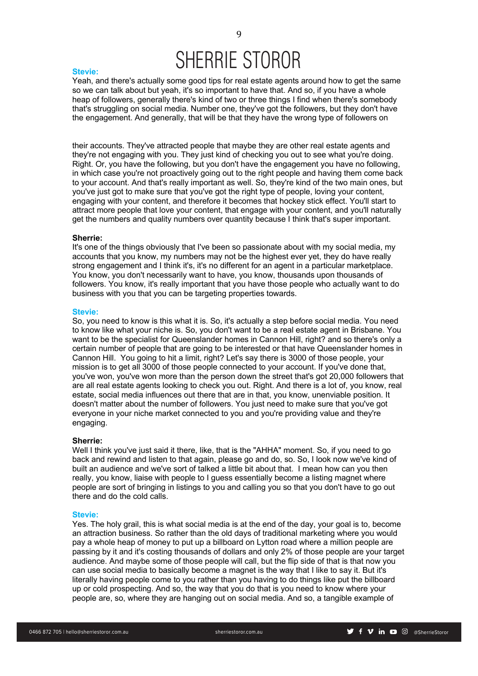#### **Stevie:**

Yeah, and there's actually some good tips for real estate agents around how to get the same so we can talk about but yeah, it's so important to have that. And so, if you have a whole heap of followers, generally there's kind of two or three things I find when there's somebody that's struggling on social media. Number one, they've got the followers, but they don't have the engagement. And generally, that will be that they have the wrong type of followers on

their accounts. They've attracted people that maybe they are other real estate agents and they're not engaging with you. They just kind of checking you out to see what you're doing. Right. Or, you have the following, but you don't have the engagement you have no following, in which case you're not proactively going out to the right people and having them come back to your account. And that's really important as well. So, they're kind of the two main ones, but you've just got to make sure that you've got the right type of people, loving your content, engaging with your content, and therefore it becomes that hockey stick effect. You'll start to attract more people that love your content, that engage with your content, and you'll naturally get the numbers and quality numbers over quantity because I think that's super important.

#### **Sherrie:**

It's one of the things obviously that I've been so passionate about with my social media, my accounts that you know, my numbers may not be the highest ever yet, they do have really strong engagement and I think it's, it's no different for an agent in a particular marketplace. You know, you don't necessarily want to have, you know, thousands upon thousands of followers. You know, it's really important that you have those people who actually want to do business with you that you can be targeting properties towards.

#### **Stevie:**

So, you need to know is this what it is. So, it's actually a step before social media. You need to know like what your niche is. So, you don't want to be a real estate agent in Brisbane. You want to be the specialist for Queenslander homes in Cannon Hill, right? and so there's only a certain number of people that are going to be interested or that have Queenslander homes in Cannon Hill. You going to hit a limit, right? Let's say there is 3000 of those people, your mission is to get all 3000 of those people connected to your account. If you've done that, you've won, you've won more than the person down the street that's got 20,000 followers that are all real estate agents looking to check you out. Right. And there is a lot of, you know, real estate, social media influences out there that are in that, you know, unenviable position. It doesn't matter about the number of followers. You just need to make sure that you've got everyone in your niche market connected to you and you're providing value and they're engaging.

#### **Sherrie:**

Well I think you've just said it there, like, that is the "AHHA" moment. So, if you need to go back and rewind and listen to that again, please go and do, so. So, I look now we've kind of built an audience and we've sort of talked a little bit about that. I mean how can you then really, you know, liaise with people to I guess essentially become a listing magnet where people are sort of bringing in listings to you and calling you so that you don't have to go out there and do the cold calls.

#### **Stevie:**

Yes. The holy grail, this is what social media is at the end of the day, your goal is to, become an attraction business. So rather than the old days of traditional marketing where you would pay a whole heap of money to put up a billboard on Lytton road where a million people are passing by it and it's costing thousands of dollars and only 2% of those people are your target audience. And maybe some of those people will call, but the flip side of that is that now you can use social media to basically become a magnet is the way that I like to say it. But it's literally having people come to you rather than you having to do things like put the billboard up or cold prospecting. And so, the way that you do that is you need to know where your people are, so, where they are hanging out on social media. And so, a tangible example of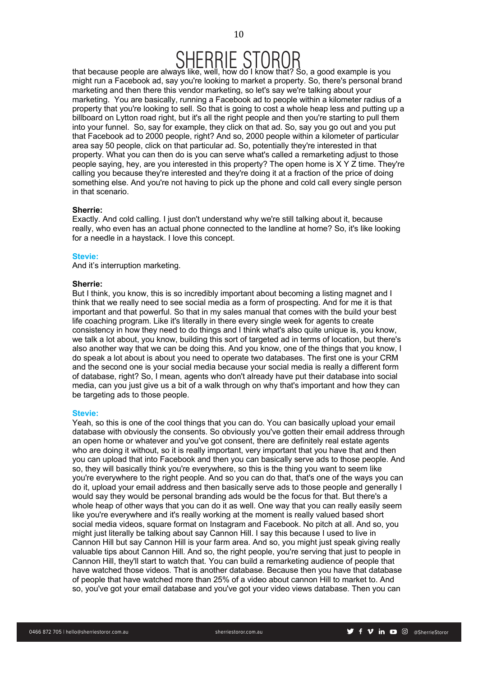# $SHERHESIOROR$ <br>that because people are always like, well, how do I know that? So, a good example is you

might run a Facebook ad, say you're looking to market a property. So, there's personal brand marketing and then there this vendor marketing, so let's say we're talking about your marketing. You are basically, running a Facebook ad to people within a kilometer radius of a property that you're looking to sell. So that is going to cost a whole heap less and putting up a billboard on Lytton road right, but it's all the right people and then you're starting to pull them into your funnel. So, say for example, they click on that ad. So, say you go out and you put that Facebook ad to 2000 people, right? And so, 2000 people within a kilometer of particular area say 50 people, click on that particular ad. So, potentially they're interested in that property. What you can then do is you can serve what's called a remarketing adjust to those people saying, hey, are you interested in this property? The open home is X Y Z time. They're calling you because they're interested and they're doing it at a fraction of the price of doing something else. And you're not having to pick up the phone and cold call every single person in that scenario.

## **Sherrie:**

Exactly. And cold calling. I just don't understand why we're still talking about it, because really, who even has an actual phone connected to the landline at home? So, it's like looking for a needle in a haystack. I love this concept.

## **Stevie:**

And it's interruption marketing.

## **Sherrie:**

But I think, you know, this is so incredibly important about becoming a listing magnet and I think that we really need to see social media as a form of prospecting. And for me it is that important and that powerful. So that in my sales manual that comes with the build your best life coaching program. Like it's literally in there every single week for agents to create consistency in how they need to do things and I think what's also quite unique is, you know, we talk a lot about, you know, building this sort of targeted ad in terms of location, but there's also another way that we can be doing this. And you know, one of the things that you know, I do speak a lot about is about you need to operate two databases. The first one is your CRM and the second one is your social media because your social media is really a different form of database, right? So, I mean, agents who don't already have put their database into social media, can you just give us a bit of a walk through on why that's important and how they can be targeting ads to those people.

## **Stevie:**

Yeah, so this is one of the cool things that you can do. You can basically upload your email database with obviously the consents. So obviously you've gotten their email address through an open home or whatever and you've got consent, there are definitely real estate agents who are doing it without, so it is really important, very important that you have that and then you can upload that into Facebook and then you can basically serve ads to those people. And so, they will basically think you're everywhere, so this is the thing you want to seem like you're everywhere to the right people. And so you can do that, that's one of the ways you can do it, upload your email address and then basically serve ads to those people and generally I would say they would be personal branding ads would be the focus for that. But there's a whole heap of other ways that you can do it as well. One way that you can really easily seem like you're everywhere and it's really working at the moment is really valued based short social media videos, square format on Instagram and Facebook. No pitch at all. And so, you might just literally be talking about say Cannon Hill. I say this because I used to live in Cannon Hill but say Cannon Hill is your farm area. And so, you might just speak giving really valuable tips about Cannon Hill. And so, the right people, you're serving that just to people in Cannon Hill, they'll start to watch that. You can build a remarketing audience of people that have watched those videos. That is another database. Because then you have that database of people that have watched more than 25% of a video about cannon Hill to market to. And so, you've got your email database and you've got your video views database. Then you can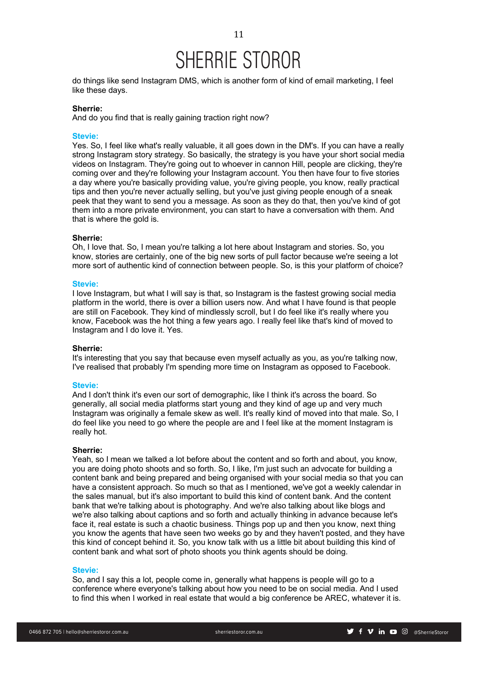do things like send Instagram DMS, which is another form of kind of email marketing, I feel like these days.

## **Sherrie:**

And do you find that is really gaining traction right now?

## **Stevie:**

Yes. So, I feel like what's really valuable, it all goes down in the DM's. If you can have a really strong Instagram story strategy. So basically, the strategy is you have your short social media videos on Instagram. They're going out to whoever in cannon Hill, people are clicking, they're coming over and they're following your Instagram account. You then have four to five stories a day where you're basically providing value, you're giving people, you know, really practical tips and then you're never actually selling, but you've just giving people enough of a sneak peek that they want to send you a message. As soon as they do that, then you've kind of got them into a more private environment, you can start to have a conversation with them. And that is where the gold is.

#### **Sherrie:**

Oh, I love that. So, I mean you're talking a lot here about Instagram and stories. So, you know, stories are certainly, one of the big new sorts of pull factor because we're seeing a lot more sort of authentic kind of connection between people. So, is this your platform of choice?

## **Stevie:**

I love Instagram, but what I will say is that, so Instagram is the fastest growing social media platform in the world, there is over a billion users now. And what I have found is that people are still on Facebook. They kind of mindlessly scroll, but I do feel like it's really where you know, Facebook was the hot thing a few years ago. I really feel like that's kind of moved to Instagram and I do love it. Yes.

## **Sherrie:**

It's interesting that you say that because even myself actually as you, as you're talking now, I've realised that probably I'm spending more time on Instagram as opposed to Facebook.

### **Stevie:**

And I don't think it's even our sort of demographic, like I think it's across the board. So generally, all social media platforms start young and they kind of age up and very much Instagram was originally a female skew as well. It's really kind of moved into that male. So, I do feel like you need to go where the people are and I feel like at the moment Instagram is really hot.

#### **Sherrie:**

Yeah, so I mean we talked a lot before about the content and so forth and about, you know, you are doing photo shoots and so forth. So, I like, I'm just such an advocate for building a content bank and being prepared and being organised with your social media so that you can have a consistent approach. So much so that as I mentioned, we've got a weekly calendar in the sales manual, but it's also important to build this kind of content bank. And the content bank that we're talking about is photography. And we're also talking about like blogs and we're also talking about captions and so forth and actually thinking in advance because let's face it, real estate is such a chaotic business. Things pop up and then you know, next thing you know the agents that have seen two weeks go by and they haven't posted, and they have this kind of concept behind it. So, you know talk with us a little bit about building this kind of content bank and what sort of photo shoots you think agents should be doing.

#### **Stevie:**

So, and I say this a lot, people come in, generally what happens is people will go to a conference where everyone's talking about how you need to be on social media. And I used to find this when I worked in real estate that would a big conference be AREC, whatever it is.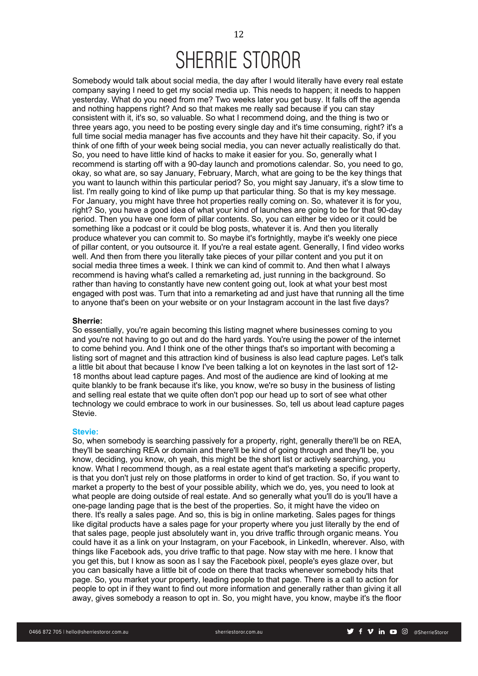12

Somebody would talk about social media, the day after I would literally have every real estate company saying I need to get my social media up. This needs to happen; it needs to happen yesterday. What do you need from me? Two weeks later you get busy. It falls off the agenda and nothing happens right? And so that makes me really sad because if you can stay consistent with it, it's so, so valuable. So what I recommend doing, and the thing is two or three years ago, you need to be posting every single day and it's time consuming, right? it's a full time social media manager has five accounts and they have hit their capacity. So, if you think of one fifth of your week being social media, you can never actually realistically do that. So, you need to have little kind of hacks to make it easier for you. So, generally what I recommend is starting off with a 90-day launch and promotions calendar. So, you need to go, okay, so what are, so say January, February, March, what are going to be the key things that you want to launch within this particular period? So, you might say January, it's a slow time to list. I'm really going to kind of like pump up that particular thing. So that is my key message. For January, you might have three hot properties really coming on. So, whatever it is for you, right? So, you have a good idea of what your kind of launches are going to be for that 90-day period. Then you have one form of pillar contents. So, you can either be video or it could be something like a podcast or it could be blog posts, whatever it is. And then you literally produce whatever you can commit to. So maybe it's fortnightly, maybe it's weekly one piece of pillar content, or you outsource it. If you're a real estate agent. Generally, I find video works well. And then from there you literally take pieces of your pillar content and you put it on social media three times a week. I think we can kind of commit to. And then what I always recommend is having what's called a remarketing ad, just running in the background. So rather than having to constantly have new content going out, look at what your best most engaged with post was. Turn that into a remarketing ad and just have that running all the time to anyone that's been on your website or on your Instagram account in the last five days?

## **Sherrie:**

So essentially, you're again becoming this listing magnet where businesses coming to you and you're not having to go out and do the hard yards. You're using the power of the internet to come behind you. And I think one of the other things that's so important with becoming a listing sort of magnet and this attraction kind of business is also lead capture pages. Let's talk a little bit about that because I know I've been talking a lot on keynotes in the last sort of 12- 18 months about lead capture pages. And most of the audience are kind of looking at me quite blankly to be frank because it's like, you know, we're so busy in the business of listing and selling real estate that we quite often don't pop our head up to sort of see what other technology we could embrace to work in our businesses. So, tell us about lead capture pages Stevie.

### **Stevie:**

So, when somebody is searching passively for a property, right, generally there'll be on REA, they'll be searching REA or domain and there'll be kind of going through and they'll be, you know, deciding, you know, oh yeah, this might be the short list or actively searching, you know. What I recommend though, as a real estate agent that's marketing a specific property, is that you don't just rely on those platforms in order to kind of get traction. So, if you want to market a property to the best of your possible ability, which we do, yes, you need to look at what people are doing outside of real estate. And so generally what you'll do is you'll have a one-page landing page that is the best of the properties. So, it might have the video on there. It's really a sales page. And so, this is big in online marketing. Sales pages for things like digital products have a sales page for your property where you just literally by the end of that sales page, people just absolutely want in, you drive traffic through organic means. You could have it as a link on your Instagram, on your Facebook, in LinkedIn, wherever. Also, with things like Facebook ads, you drive traffic to that page. Now stay with me here. I know that you get this, but I know as soon as I say the Facebook pixel, people's eyes glaze over, but you can basically have a little bit of code on there that tracks whenever somebody hits that page. So, you market your property, leading people to that page. There is a call to action for people to opt in if they want to find out more information and generally rather than giving it all away, gives somebody a reason to opt in. So, you might have, you know, maybe it's the floor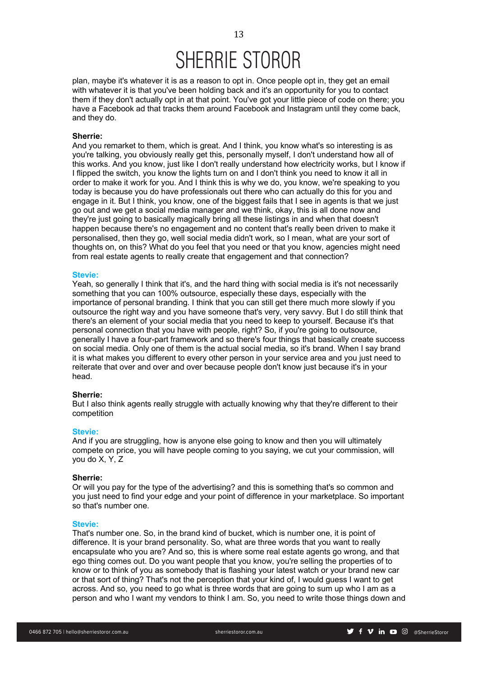

plan, maybe it's whatever it is as a reason to opt in. Once people opt in, they get an email with whatever it is that you've been holding back and it's an opportunity for you to contact them if they don't actually opt in at that point. You've got your little piece of code on there; you have a Facebook ad that tracks them around Facebook and Instagram until they come back, and they do.

## **Sherrie:**

And you remarket to them, which is great. And I think, you know what's so interesting is as you're talking, you obviously really get this, personally myself, I don't understand how all of this works. And you know, just like I don't really understand how electricity works, but I know if I flipped the switch, you know the lights turn on and I don't think you need to know it all in order to make it work for you. And I think this is why we do, you know, we're speaking to you today is because you do have professionals out there who can actually do this for you and engage in it. But I think, you know, one of the biggest fails that I see in agents is that we just go out and we get a social media manager and we think, okay, this is all done now and they're just going to basically magically bring all these listings in and when that doesn't happen because there's no engagement and no content that's really been driven to make it personalised, then they go, well social media didn't work, so I mean, what are your sort of thoughts on, on this? What do you feel that you need or that you know, agencies might need from real estate agents to really create that engagement and that connection?

#### **Stevie:**

Yeah, so generally I think that it's, and the hard thing with social media is it's not necessarily something that you can 100% outsource, especially these days, especially with the importance of personal branding. I think that you can still get there much more slowly if you outsource the right way and you have someone that's very, very savvy. But I do still think that there's an element of your social media that you need to keep to yourself. Because it's that personal connection that you have with people, right? So, if you're going to outsource, generally I have a four-part framework and so there's four things that basically create success on social media. Only one of them is the actual social media, so it's brand. When I say brand it is what makes you different to every other person in your service area and you just need to reiterate that over and over and over because people don't know just because it's in your head.

### **Sherrie:**

But I also think agents really struggle with actually knowing why that they're different to their competition

### **Stevie:**

And if you are struggling, how is anyone else going to know and then you will ultimately compete on price, you will have people coming to you saying, we cut your commission, will you do X, Y, Z

## **Sherrie:**

Or will you pay for the type of the advertising? and this is something that's so common and you just need to find your edge and your point of difference in your marketplace. So important so that's number one.

#### **Stevie:**

That's number one. So, in the brand kind of bucket, which is number one, it is point of difference. It is your brand personality. So, what are three words that you want to really encapsulate who you are? And so, this is where some real estate agents go wrong, and that ego thing comes out. Do you want people that you know, you're selling the properties of to know or to think of you as somebody that is flashing your latest watch or your brand new car or that sort of thing? That's not the perception that your kind of, I would guess I want to get across. And so, you need to go what is three words that are going to sum up who I am as a person and who I want my vendors to think I am. So, you need to write those things down and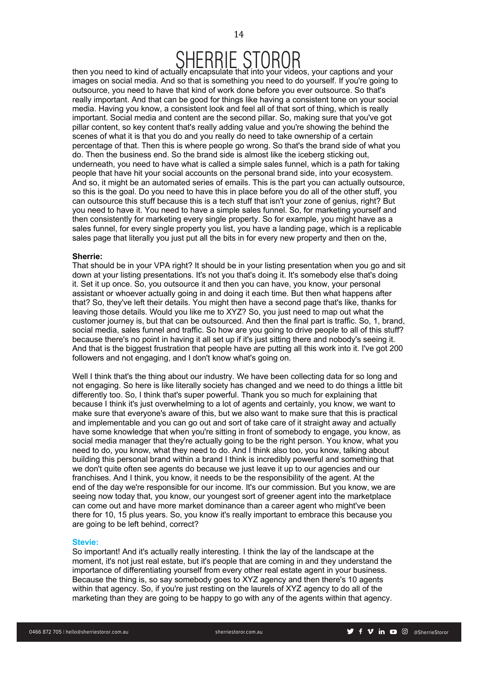

 $SHERHESIOROR$ <br>then you need to kind of actually encapsulate that into your videos, your captions and your images on social media. And so that is something you need to do yourself. If you're going to outsource, you need to have that kind of work done before you ever outsource. So that's really important. And that can be good for things like having a consistent tone on your social media. Having you know, a consistent look and feel all of that sort of thing, which is really important. Social media and content are the second pillar. So, making sure that you've got pillar content, so key content that's really adding value and you're showing the behind the scenes of what it is that you do and you really do need to take ownership of a certain percentage of that. Then this is where people go wrong. So that's the brand side of what you do. Then the business end. So the brand side is almost like the iceberg sticking out, underneath, you need to have what is called a simple sales funnel, which is a path for taking people that have hit your social accounts on the personal brand side, into your ecosystem. And so, it might be an automated series of emails. This is the part you can actually outsource, so this is the goal. Do you need to have this in place before you do all of the other stuff, you can outsource this stuff because this is a tech stuff that isn't your zone of genius, right? But you need to have it. You need to have a simple sales funnel. So, for marketing yourself and then consistently for marketing every single property. So for example, you might have as a sales funnel, for every single property you list, you have a landing page, which is a replicable sales page that literally you just put all the bits in for every new property and then on the,

#### **Sherrie:**

That should be in your VPA right? It should be in your listing presentation when you go and sit down at your listing presentations. It's not you that's doing it. It's somebody else that's doing it. Set it up once. So, you outsource it and then you can have, you know, your personal assistant or whoever actually going in and doing it each time. But then what happens after that? So, they've left their details. You might then have a second page that's like, thanks for leaving those details. Would you like me to XYZ? So, you just need to map out what the customer journey is, but that can be outsourced. And then the final part is traffic. So, 1, brand, social media, sales funnel and traffic. So how are you going to drive people to all of this stuff? because there's no point in having it all set up if it's just sitting there and nobody's seeing it. And that is the biggest frustration that people have are putting all this work into it. I've got 200 followers and not engaging, and I don't know what's going on.

Well I think that's the thing about our industry. We have been collecting data for so long and not engaging. So here is like literally society has changed and we need to do things a little bit differently too. So, I think that's super powerful. Thank you so much for explaining that because I think it's just overwhelming to a lot of agents and certainly, you know, we want to make sure that everyone's aware of this, but we also want to make sure that this is practical and implementable and you can go out and sort of take care of it straight away and actually have some knowledge that when you're sitting in front of somebody to engage, you know, as social media manager that they're actually going to be the right person. You know, what you need to do, you know, what they need to do. And I think also too, you know, talking about building this personal brand within a brand I think is incredibly powerful and something that we don't quite often see agents do because we just leave it up to our agencies and our franchises. And I think, you know, it needs to be the responsibility of the agent. At the end of the day we're responsible for our income. It's our commission. But you know, we are seeing now today that, you know, our youngest sort of greener agent into the marketplace can come out and have more market dominance than a career agent who might've been there for 10, 15 plus years. So, you know it's really important to embrace this because you are going to be left behind, correct?

#### **Stevie:**

So important! And it's actually really interesting. I think the lay of the landscape at the moment, it's not just real estate, but it's people that are coming in and they understand the importance of differentiating yourself from every other real estate agent in your business. Because the thing is, so say somebody goes to XYZ agency and then there's 10 agents within that agency. So, if you're just resting on the laurels of XYZ agency to do all of the marketing than they are going to be happy to go with any of the agents within that agency.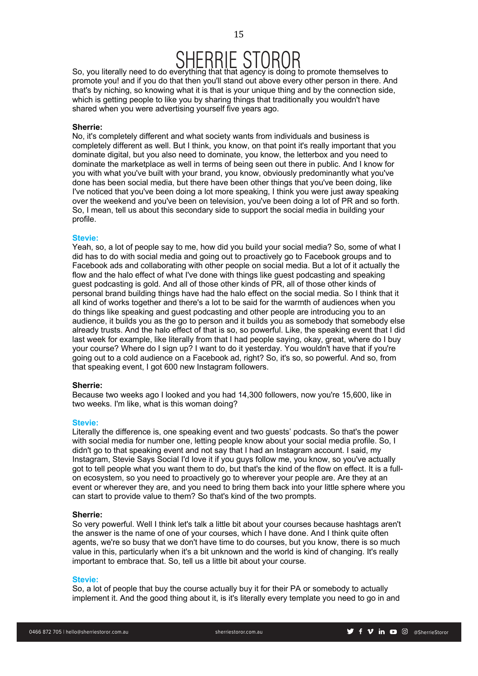15

So, you literally need to do everything that that agency is doing to promote themselves to promote you! and if you do that then you'll stand out above every other person in there. And that's by niching, so knowing what it is that is your unique thing and by the connection side, which is getting people to like you by sharing things that traditionally you wouldn't have shared when you were advertising yourself five years ago.

## **Sherrie:**

No, it's completely different and what society wants from individuals and business is completely different as well. But I think, you know, on that point it's really important that you dominate digital, but you also need to dominate, you know, the letterbox and you need to dominate the marketplace as well in terms of being seen out there in public. And I know for you with what you've built with your brand, you know, obviously predominantly what you've done has been social media, but there have been other things that you've been doing, like I've noticed that you've been doing a lot more speaking, I think you were just away speaking over the weekend and you've been on television, you've been doing a lot of PR and so forth. So, I mean, tell us about this secondary side to support the social media in building your profile.

## **Stevie:**

Yeah, so, a lot of people say to me, how did you build your social media? So, some of what I did has to do with social media and going out to proactively go to Facebook groups and to Facebook ads and collaborating with other people on social media. But a lot of it actually the flow and the halo effect of what I've done with things like guest podcasting and speaking guest podcasting is gold. And all of those other kinds of PR, all of those other kinds of personal brand building things have had the halo effect on the social media. So I think that it all kind of works together and there's a lot to be said for the warmth of audiences when you do things like speaking and guest podcasting and other people are introducing you to an audience, it builds you as the go to person and it builds you as somebody that somebody else already trusts. And the halo effect of that is so, so powerful. Like, the speaking event that I did last week for example, like literally from that I had people saying, okay, great, where do I buy your course? Where do I sign up? I want to do it yesterday. You wouldn't have that if you're going out to a cold audience on a Facebook ad, right? So, it's so, so powerful. And so, from that speaking event, I got 600 new Instagram followers.

## **Sherrie:**

Because two weeks ago I looked and you had 14,300 followers, now you're 15,600, like in two weeks. I'm like, what is this woman doing?

## **Stevie:**

Literally the difference is, one speaking event and two guests' podcasts. So that's the power with social media for number one, letting people know about your social media profile. So, I didn't go to that speaking event and not say that I had an Instagram account. I said, my Instagram, Stevie Says Social I'd love it if you guys follow me, you know, so you've actually got to tell people what you want them to do, but that's the kind of the flow on effect. It is a fullon ecosystem, so you need to proactively go to wherever your people are. Are they at an event or wherever they are, and you need to bring them back into your little sphere where you can start to provide value to them? So that's kind of the two prompts.

## **Sherrie:**

So very powerful. Well I think let's talk a little bit about your courses because hashtags aren't the answer is the name of one of your courses, which I have done. And I think quite often agents, we're so busy that we don't have time to do courses, but you know, there is so much value in this, particularly when it's a bit unknown and the world is kind of changing. It's really important to embrace that. So, tell us a little bit about your course.

## **Stevie:**

So, a lot of people that buy the course actually buy it for their PA or somebody to actually implement it. And the good thing about it, is it's literally every template you need to go in and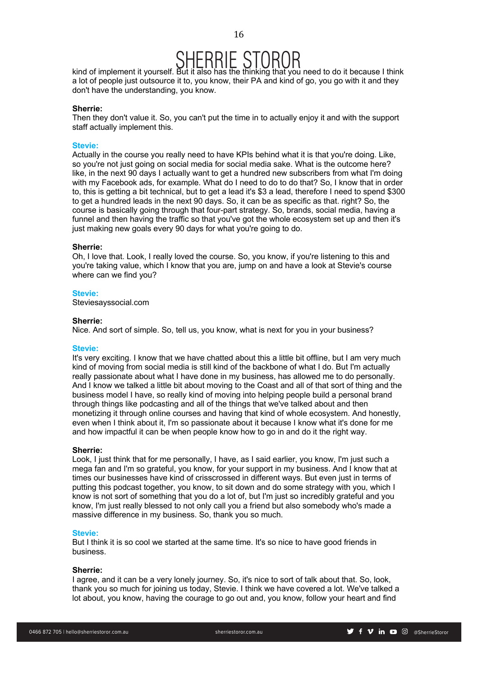# $SHEBHESIOBOR$ <br>kind of implement it yourself. But it also has the thinking that you need to do it because I think

a lot of people just outsource it to, you know, their PA and kind of go, you go with it and they don't have the understanding, you know.

## **Sherrie:**

Then they don't value it. So, you can't put the time in to actually enjoy it and with the support staff actually implement this.

#### **Stevie:**

Actually in the course you really need to have KPIs behind what it is that you're doing. Like, so you're not just going on social media for social media sake. What is the outcome here? like, in the next 90 days I actually want to get a hundred new subscribers from what I'm doing with my Facebook ads, for example. What do I need to do to do that? So, I know that in order to, this is getting a bit technical, but to get a lead it's \$3 a lead, therefore I need to spend \$300 to get a hundred leads in the next 90 days. So, it can be as specific as that. right? So, the course is basically going through that four-part strategy. So, brands, social media, having a funnel and then having the traffic so that you've got the whole ecosystem set up and then it's just making new goals every 90 days for what you're going to do.

## **Sherrie:**

Oh, I love that. Look, I really loved the course. So, you know, if you're listening to this and you're taking value, which I know that you are, jump on and have a look at Stevie's course where can we find you?

## **Stevie:**

Steviesayssocial.com

## **Sherrie:**

Nice. And sort of simple. So, tell us, you know, what is next for you in your business?

#### **Stevie:**

It's very exciting. I know that we have chatted about this a little bit offline, but I am very much kind of moving from social media is still kind of the backbone of what I do. But I'm actually really passionate about what I have done in my business, has allowed me to do personally. And I know we talked a little bit about moving to the Coast and all of that sort of thing and the business model I have, so really kind of moving into helping people build a personal brand through things like podcasting and all of the things that we've talked about and then monetizing it through online courses and having that kind of whole ecosystem. And honestly, even when I think about it, I'm so passionate about it because I know what it's done for me and how impactful it can be when people know how to go in and do it the right way.

#### **Sherrie:**

Look, I just think that for me personally, I have, as I said earlier, you know, I'm just such a mega fan and I'm so grateful, you know, for your support in my business. And I know that at times our businesses have kind of crisscrossed in different ways. But even just in terms of putting this podcast together, you know, to sit down and do some strategy with you, which I know is not sort of something that you do a lot of, but I'm just so incredibly grateful and you know, I'm just really blessed to not only call you a friend but also somebody who's made a massive difference in my business. So, thank you so much.

#### **Stevie:**

But I think it is so cool we started at the same time. It's so nice to have good friends in business.

### **Sherrie:**

I agree, and it can be a very lonely journey. So, it's nice to sort of talk about that. So, look, thank you so much for joining us today, Stevie. I think we have covered a lot. We've talked a lot about, you know, having the courage to go out and, you know, follow your heart and find